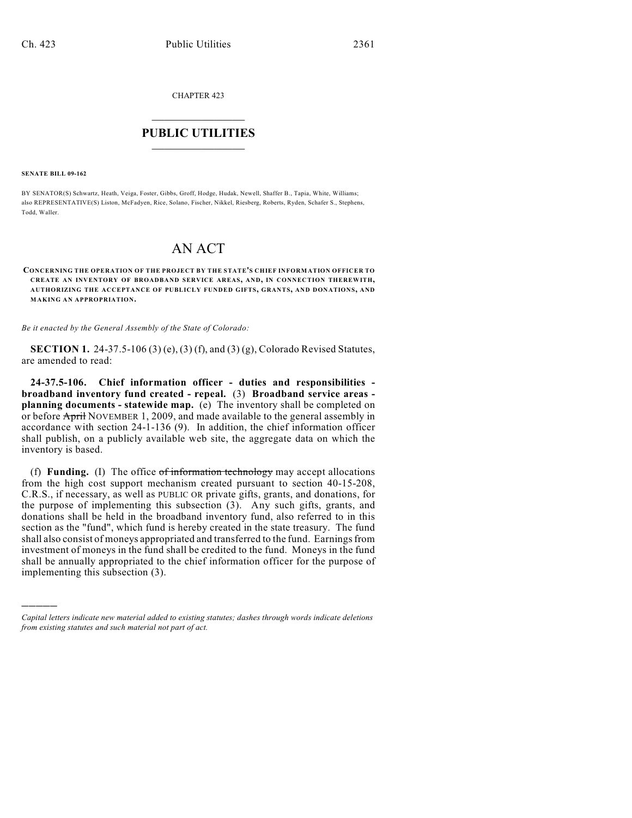CHAPTER 423

## $\overline{\phantom{a}}$  . The set of the set of the set of the set of the set of the set of the set of the set of the set of the set of the set of the set of the set of the set of the set of the set of the set of the set of the set o **PUBLIC UTILITIES** \_\_\_\_\_\_\_\_\_\_\_\_\_\_\_

**SENATE BILL 09-162**

)))))

BY SENATOR(S) Schwartz, Heath, Veiga, Foster, Gibbs, Groff, Hodge, Hudak, Newell, Shaffer B., Tapia, White, Williams; also REPRESENTATIVE(S) Liston, McFadyen, Rice, Solano, Fischer, Nikkel, Riesberg, Roberts, Ryden, Schafer S., Stephens, Todd, Waller.

## AN ACT

**CONCERNING THE OPERATION OF THE PROJECT BY THE STATE'S CHIEF INFORMATION OFFICER TO CREATE AN INVENTORY OF BROADBAND SERVICE AREAS, AND, IN CONNECTION THEREWITH, AUTHORIZING THE ACCEPTANCE OF PUBLICLY FUNDED GIFTS, GRANTS, AND DONATIONS, AND MAKING AN APPROPRIATION.**

*Be it enacted by the General Assembly of the State of Colorado:*

**SECTION 1.** 24-37.5-106 (3) (e), (3) (f), and (3) (g), Colorado Revised Statutes, are amended to read:

**24-37.5-106. Chief information officer - duties and responsibilities broadband inventory fund created - repeal.** (3) **Broadband service areas planning documents - statewide map.** (e) The inventory shall be completed on or before April NOVEMBER 1, 2009, and made available to the general assembly in accordance with section 24-1-136 (9). In addition, the chief information officer shall publish, on a publicly available web site, the aggregate data on which the inventory is based.

(f) **Funding.** (I) The office of information technology may accept allocations from the high cost support mechanism created pursuant to section 40-15-208, C.R.S., if necessary, as well as PUBLIC OR private gifts, grants, and donations, for the purpose of implementing this subsection (3). Any such gifts, grants, and donations shall be held in the broadband inventory fund, also referred to in this section as the "fund", which fund is hereby created in the state treasury. The fund shall also consist of moneys appropriated and transferred to the fund. Earnings from investment of moneys in the fund shall be credited to the fund. Moneys in the fund shall be annually appropriated to the chief information officer for the purpose of implementing this subsection (3).

*Capital letters indicate new material added to existing statutes; dashes through words indicate deletions from existing statutes and such material not part of act.*